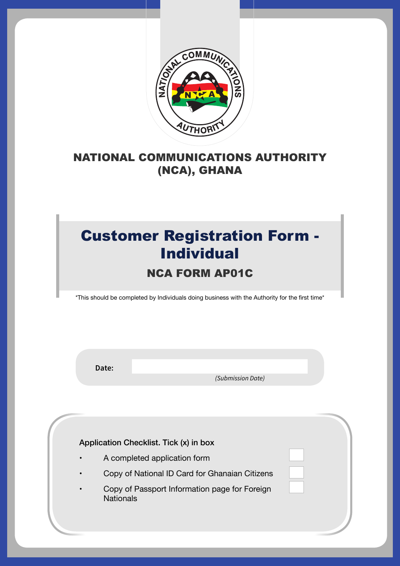

#### NATIONAL COMMUNICATIONS AUTHORITY (NCA), GHANA

## Customer Registration Form - Individual

#### NCA FORM AP01C

\*This should be completed by Individuals doing business with the Authority for the first time\*

**Date:**

 *(Submission Date)*

Application Checklist. Tick (x) in box

- A completed application form
- Copy of National ID Card for Ghanaian Citizens
- Copy of Passport Information page for Foreign **Nationals**

 $\mathcal{N}_{\mathcal{A}}$  , and the set of  $\mathcal{N}_{\mathcal{A}}$  and  $\mathcal{N}_{\mathcal{A}}$  are also the set of  $\mathcal{N}_{\mathcal{A}}$  and  $\mathcal{N}_{\mathcal{A}}$  are also the set of  $\mathcal{N}_{\mathcal{A}}$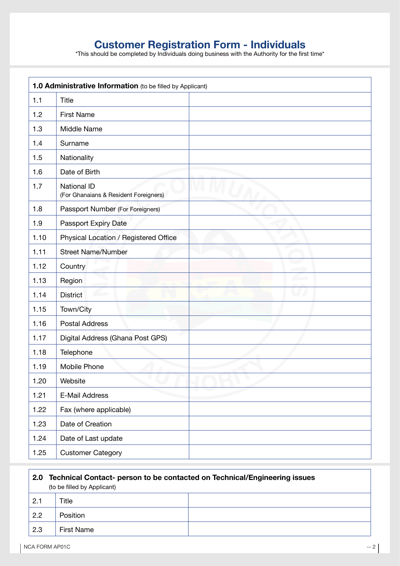# **Customer Registration Form - Individuals**<br> **\*This should be completed by Individuals doing business with the Authority for the first time\***

| 1.0 Administrative Information (to be filled by Applicant) |                                                             |  |
|------------------------------------------------------------|-------------------------------------------------------------|--|
| 1.1                                                        | <b>Title</b>                                                |  |
| 1.2                                                        | <b>First Name</b>                                           |  |
| 1.3                                                        | Middle Name                                                 |  |
| 1.4                                                        | Surname                                                     |  |
| 1.5                                                        | Nationality                                                 |  |
| 1.6                                                        | Date of Birth                                               |  |
| 1.7                                                        | <b>National ID</b><br>(For Ghanaians & Resident Foreigners) |  |
| 1.8                                                        | Passport Number (For Foreigners)                            |  |
| 1.9                                                        | Passport Expiry Date                                        |  |
| 1.10                                                       | Physical Location / Registered Office                       |  |
| 1.11                                                       | <b>Street Name/Number</b>                                   |  |
| 1.12                                                       | Country                                                     |  |
| 1.13                                                       | <b>Contract</b><br>Region                                   |  |
| 1.14                                                       | <b>District</b>                                             |  |
| 1.15                                                       | Town/City                                                   |  |
| 1.16                                                       | <b>Postal Address</b>                                       |  |
| 1.17                                                       | Digital Address (Ghana Post GPS)                            |  |
| 1.18                                                       | Telephone                                                   |  |
| 1.19                                                       | Mobile Phone                                                |  |
| 1.20                                                       | Website                                                     |  |
| 1.21                                                       | E-Mail Address                                              |  |
| 1.22                                                       | Fax (where applicable)                                      |  |
| 1.23                                                       | Date of Creation                                            |  |
| 1.24                                                       | Date of Last update                                         |  |
| 1.25                                                       | <b>Customer Category</b>                                    |  |

| Technical Contact- person to be contacted on Technical/Engineering issues<br>, 2.0<br>(to be filled by Applicant) |                   |  |
|-------------------------------------------------------------------------------------------------------------------|-------------------|--|
| 2.1                                                                                                               | Title             |  |
| 2.2                                                                                                               | <b>Position</b>   |  |
| 2.3                                                                                                               | <b>First Name</b> |  |

f

٦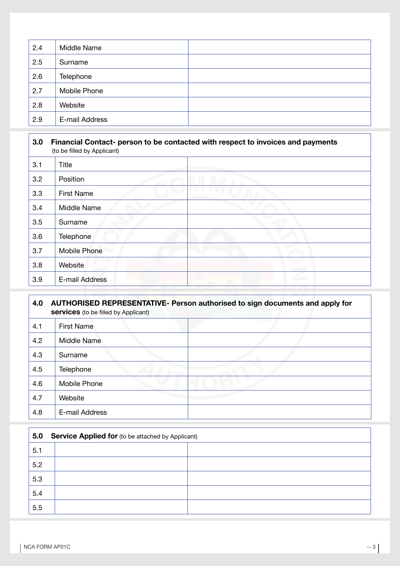| 2.4 | Middle Name    |  |
|-----|----------------|--|
| 2.5 | Surname        |  |
| 2.6 | Telephone      |  |
| 2.7 | Mobile Phone   |  |
| 2.8 | Website        |  |
| 2.9 | E-mail Address |  |

### **3.0 Financial Contact- person to be contacted with respect to invoices and payments** (to be filled by Applicant) 3.1 Title 3.2 Position 3.3 First Name 3.4 Middle Name 3.5 Surname 3.6 Telephone 3.7 Mobile Phone 3.8 Website 3.9 E-mail Address

| 4.0 | AUTHORISED REPRESENTATIVE- Person authorised to sign documents and apply for<br><b>services</b> (to be filled by Applicant) |  |  |
|-----|-----------------------------------------------------------------------------------------------------------------------------|--|--|
| 4.1 | <b>First Name</b>                                                                                                           |  |  |
| 4.2 | Middle Name                                                                                                                 |  |  |
| 4.3 | Surname                                                                                                                     |  |  |
| 4.5 | Telephone                                                                                                                   |  |  |
| 4.6 | <b>Mobile Phone</b>                                                                                                         |  |  |
| 4.7 | Website                                                                                                                     |  |  |
| 4.8 | E-mail Address                                                                                                              |  |  |

| <b>Service Applied for (to be attached by Applicant)</b><br>5.0 |  |
|-----------------------------------------------------------------|--|
| 5.1                                                             |  |
| 5.2                                                             |  |
| 5.3                                                             |  |
| 5.4                                                             |  |
| 5.5                                                             |  |